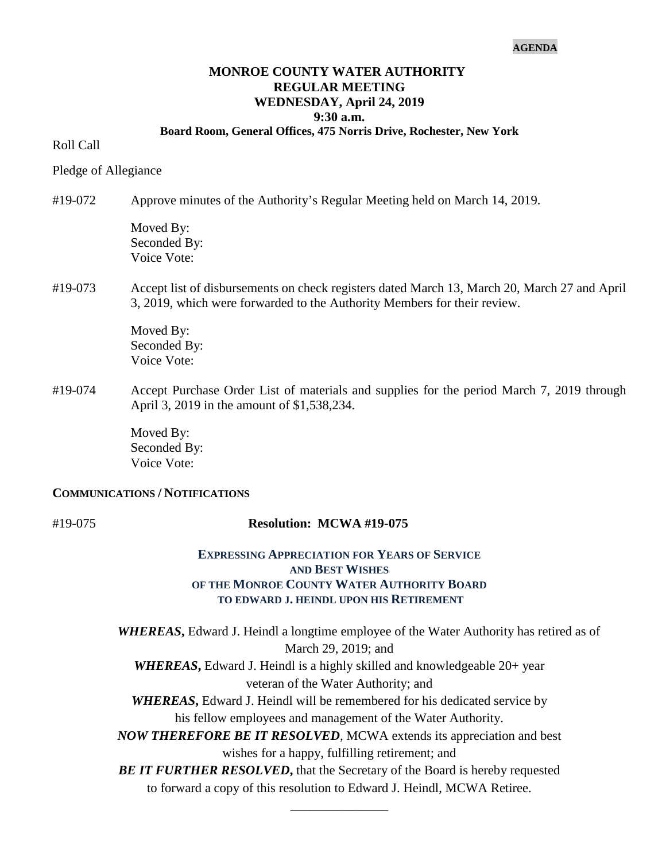#### **AGENDA**

#### **MONROE COUNTY WATER AUTHORITY REGULAR MEETING WEDNESDAY, April 24, 2019 9:30 a.m.**

# **Board Room, General Offices, 475 Norris Drive, Rochester, New York**

#### Roll Call

Pledge of Allegiance

#19-072 Approve minutes of the Authority's Regular Meeting held on March 14, 2019. Moved By:

Seconded By: Voice Vote:

# #19-073 Accept list of disbursements on check registers dated March 13, March 20, March 27 and April 3, 2019, which were forwarded to the Authority Members for their review.

Moved By: Seconded By: Voice Vote:

#19-074 Accept Purchase Order List of materials and supplies for the period March 7, 2019 through April 3, 2019 in the amount of \$1,538,234.

> Moved By: Seconded By: Voice Vote:

#### **COMMUNICATIONS / NOTIFICATIONS**

# #19-075 **Resolution: MCWA #19-075**

# **EXPRESSING APPRECIATION FOR YEARS OF SERVICE AND BEST WISHES OF THE MONROE COUNTY WATER AUTHORITY BOARD TO EDWARD J. HEINDL UPON HIS RETIREMENT**

*WHEREAS***,** Edward J. Heindl a longtime employee of the Water Authority has retired as of March 29, 2019; and **WHEREAS**, Edward J. Heindl is a highly skilled and knowledgeable 20+ year veteran of the Water Authority; and *WHEREAS***,** Edward J. Heindl will be remembered for his dedicated service by his fellow employees and management of the Water Authority. *NOW THEREFORE BE IT RESOLVED,* MCWA extends its appreciation and best wishes for a happy, fulfilling retirement; and **BE IT FURTHER RESOLVED, that the Secretary of the Board is hereby requested** to forward a copy of this resolution to Edward J. Heindl, MCWA Retiree.

\_\_\_\_\_\_\_\_\_\_\_\_\_\_\_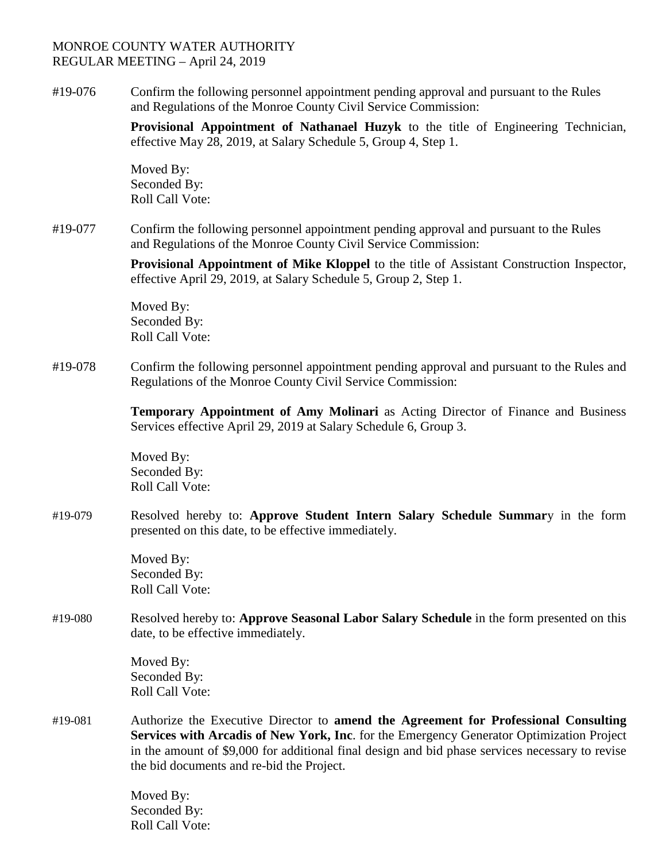# MONROE COUNTY WATER AUTHORITY REGULAR MEETING – April 24, 2019

#19-076 Confirm the following personnel appointment pending approval and pursuant to the Rules and Regulations of the Monroe County Civil Service Commission:

> **Provisional Appointment of Nathanael Huzyk** to the title of Engineering Technician, effective May 28, 2019, at Salary Schedule 5, Group 4, Step 1.

Moved By: Seconded By: Roll Call Vote:

#19-077 Confirm the following personnel appointment pending approval and pursuant to the Rules and Regulations of the Monroe County Civil Service Commission:

> **Provisional Appointment of Mike Kloppel** to the title of Assistant Construction Inspector, effective April 29, 2019, at Salary Schedule 5, Group 2, Step 1.

Moved By: Seconded By: Roll Call Vote:

#19-078 Confirm the following personnel appointment pending approval and pursuant to the Rules and Regulations of the Monroe County Civil Service Commission:

> **Temporary Appointment of Amy Molinari** as Acting Director of Finance and Business Services effective April 29, 2019 at Salary Schedule 6, Group 3.

Moved By: Seconded By: Roll Call Vote:

#19-079 Resolved hereby to: **Approve Student Intern Salary Schedule Summar**y in the form presented on this date, to be effective immediately.

> Moved By: Seconded By: Roll Call Vote:

#19-080 Resolved hereby to: **Approve Seasonal Labor Salary Schedule** in the form presented on this date, to be effective immediately.

> Moved By: Seconded By: Roll Call Vote:

#19-081 Authorize the Executive Director to **amend the Agreement for Professional Consulting Services with Arcadis of New York, Inc**. for the Emergency Generator Optimization Project in the amount of \$9,000 for additional final design and bid phase services necessary to revise the bid documents and re-bid the Project.

> Moved By: Seconded By: Roll Call Vote: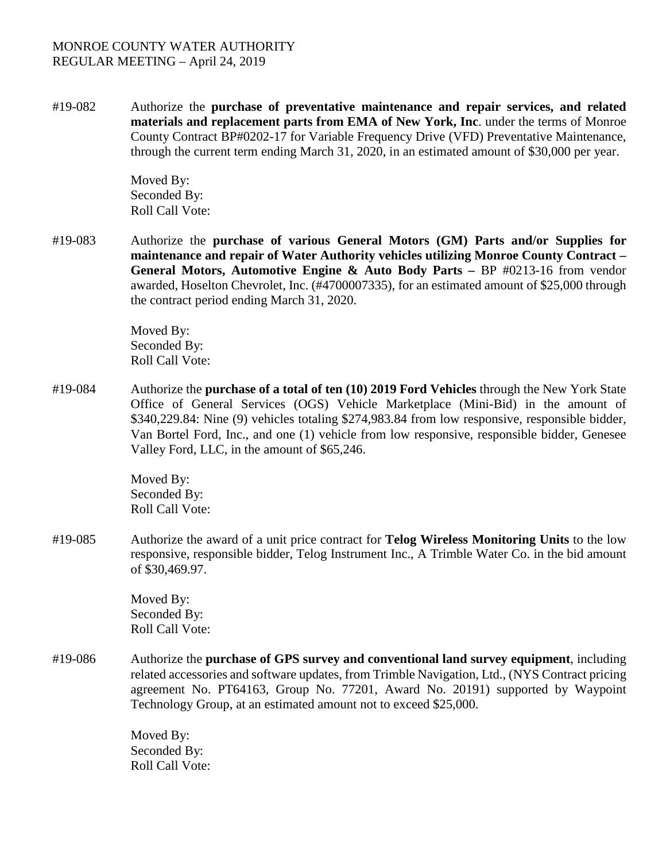# MONROE COUNTY WATER AUTHORITY REGULAR MEETING – April 24, 2019

#19-082 Authorize the **purchase of preventative maintenance and repair services, and related materials and replacement parts from EMA of New York, Inc**. under the terms of Monroe County Contract BP#0202-17 for Variable Frequency Drive (VFD) Preventative Maintenance, through the current term ending March 31, 2020, in an estimated amount of \$30,000 per year.

> Moved By: Seconded By: Roll Call Vote:

#19-083 Authorize the **purchase of various General Motors (GM) Parts and/or Supplies for maintenance and repair of Water Authority vehicles utilizing Monroe County Contract – General Motors, Automotive Engine & Auto Body Parts –** BP #0213-16 from vendor awarded, Hoselton Chevrolet, Inc. (#4700007335), for an estimated amount of \$25,000 through the contract period ending March 31, 2020.

> Moved By: Seconded By: Roll Call Vote:

#19-084 Authorize the **purchase of a total of ten (10) 2019 Ford Vehicles** through the New York State Office of General Services (OGS) Vehicle Marketplace (Mini-Bid) in the amount of \$340,229.84: Nine (9) vehicles totaling \$274,983.84 from low responsive, responsible bidder, Van Bortel Ford, Inc., and one (1) vehicle from low responsive, responsible bidder, Genesee Valley Ford, LLC, in the amount of \$65,246.

> Moved By: Seconded By: Roll Call Vote:

#19-085 Authorize the award of a unit price contract for **Telog Wireless Monitoring Units** to the low responsive, responsible bidder, Telog Instrument Inc., A Trimble Water Co. in the bid amount of \$30,469.97.

> Moved By: Seconded By: Roll Call Vote:

#19-086 Authorize the **purchase of GPS survey and conventional land survey equipment**, including related accessories and software updates, from Trimble Navigation, Ltd., (NYS Contract pricing agreement No. PT64163, Group No. 77201, Award No. 20191) supported by Waypoint Technology Group, at an estimated amount not to exceed \$25,000.

> Moved By: Seconded By: Roll Call Vote: